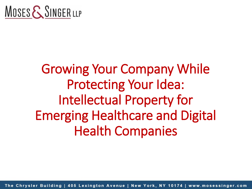

## Growing Your Company While Protecting Your Idea: Intellectual Property for Emerging Healthcare and Digital Health Companies

The Chrysler Building | 405 Lexington Avenue | New York, NY 10174 | www.mosessinger.com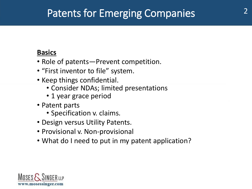### **Patents for Emerging Companies**

#### **Basics**

- Role of patents—Prevent competition.
- "First inventor to file" system.
- Keep things confidential.
	- Consider NDAs; limited presentations
	- 1 year grace period
- Patent parts
	- Specification v. claims.
- Design versus Utility Patents.
- Provisional v. Non-provisional
- What do I need to put in my patent application?

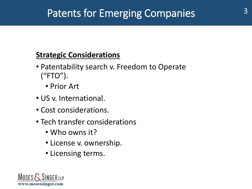### Patents for Emerging Companies  $3^3$

### **Strategic Considerations**

- Patentability search v. Freedom to Operate ("FTO").
	- Prior Art
- US v. International.
- Cost considerations.
- Tech transfer considerations
	- Who owns it?
	- License v. ownership.
	- Licensing terms.

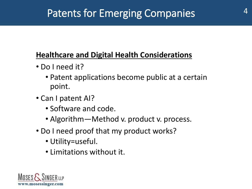### Patents for Emerging Companies **4 market 10**

### **Healthcare and Digital Health Considerations**

- Do I need it?
	- Patent applications become public at a certain point.
- Can I patent AI?
	- Software and code.
	- Algorithm—Method v. product v. process.
- Do I need proof that my product works?
	- Utility=useful.
	- Limitations without it.

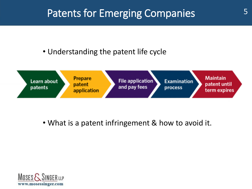### Patents for Emerging Companies **5**

• Understanding the patent life cycle



• What is a patent infringement & how to avoid it.

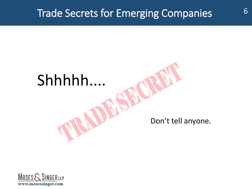## Shhhhh....

#### Don't tell anyone.

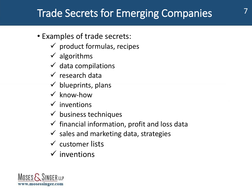- Examples of trade secrets:
	- $\checkmark$  product formulas, recipes
	- $\checkmark$  algorithms
	- $\checkmark$  data compilations
	- $\checkmark$  research data
	- $\checkmark$  blueprints, plans
	- $\checkmark$  know-how
	- $\checkmark$  inventions
	- $\checkmark$  business techniques
	- $\checkmark$  financial information, profit and loss data
	- $\checkmark$  sales and marketing data, strategies
	- $\checkmark$  customer lists
	- $\checkmark$  inventions

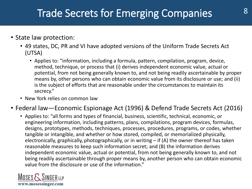#### $\overline{\phantom{a}}$ • State law protection:

- 49 states, DC, PR and VI have adopted versions of the Uniform Trade Secrets Act (UTSA)
	- Applies to: "information, including a formula, pattern, compilation, program, device, method, technique, or process that (i) derives independent economic value, actual or potential, from not being generally known to, and not being readily ascertainable by proper means by, other persons who can obtain economic value from its disclosure or use; and (ii) is the subject of efforts that are reasonable under the circumstances to maintain its secrecy."
- New York relies on common law

#### • Federal law—Economic Espionage Act (1996) & Defend Trade Secrets Act (2016)

• Applies to: "all forms and types of financial, business, scientific, technical, economic, or engineering information, including patterns, plans, compilations, program devices, formulas, designs, prototypes, methods, techniques, processes, procedures, programs, or codes, whether tangible or intangible, and whether or how stored, compiled, or memorialized physically, electronically, graphically, photographically, or in writing – if (A) the owner thereof has taken reasonable measures to keep such information secret; and (B) the information derives independent economic value, actual or potential, from not being generally known to, and not being readily ascertainable through proper means by, another person who can obtain economic value from the disclosure or use of the information."

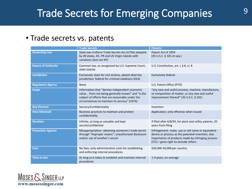### Trade Secrets for Emerging Companies 318 and 19

#### Construction is experienced and the emergency of  $\mathbb{R}^n$ • Trade secrets vs. patents

|                            | <b>Trade Secrets</b>                                                                                                                                                                                     | <b>Patents</b>                                                                                                                                                                                          |
|----------------------------|----------------------------------------------------------------------------------------------------------------------------------------------------------------------------------------------------------|---------------------------------------------------------------------------------------------------------------------------------------------------------------------------------------------------------|
| <b>Governing Law</b>       | State law-Uniform Trade Secrets Act (UTSA) adopted<br>by 49 states, DC, PR and US Virgin Islands with<br>variations (but not NY)                                                                         | Patent Act of 1954<br>(35 U.S.C. § 101 et seq.)                                                                                                                                                         |
| <b>Source of Authority</b> | Common law, as recognized by U.S. Supreme Court;<br>state statute                                                                                                                                        | U.S. Constitution, art. I, § 8, cl. 8                                                                                                                                                                   |
| <b>Jurisdiction</b>        | Exclusively state for civil actions, absent diversity<br>jurisdiction; federal for criminal violations (EEA)                                                                                             | <b>Exclusively federal</b>                                                                                                                                                                              |
| <b>Regulatory Agency</b>   | None                                                                                                                                                                                                     | U.S. Patent Office (PTO)                                                                                                                                                                                |
| <b>Scope</b>               | Information that "derives independent economic<br>value from not being generally known" and "is the<br>subject of efforts that are reasonable under the<br>circumstances to maintain its secrecy" (USTA) | "any new and useful process, machine, manufacture,<br>or composition of matter, or any new and useful<br>improvement thereof" (35 U.S.C. § 101)                                                         |
| <b>Key Element</b>         | Secrecy/Confidentiality                                                                                                                                                                                  | Invention                                                                                                                                                                                               |
| <b>How Obtained</b>        | Business practices to maintain and protect<br>confidentiality                                                                                                                                            | Application; only effective when issued                                                                                                                                                                 |
| <b>Duration</b>            | Infinite, as long as valuable and kept<br>secret/confidential                                                                                                                                            | If filed after 6/8/95, for plant and utility patents, 20<br>years from filing                                                                                                                           |
| <b>Protection Against</b>  | Misappropriation: obtaining someone's trade secret<br>through "improper means"; unauthorized disclosure<br>and/or use of another's secret                                                                | Infringement: make, use or sell same or equivalent<br>device or process as the patented invention; also<br>importation of products made by infringing process<br>$(ITC)$ -gives right to exclude others |
| <b>Cost</b>                | No fees; only administrative costs for establishing<br>and enforcing internal procedures                                                                                                                 | \$30,000-50,000 per country                                                                                                                                                                             |
| <b>Time to Get</b>         | As long as it takes to establish and maintain internal<br>procedures                                                                                                                                     | 1-3 years, on average                                                                                                                                                                                   |

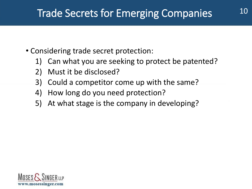- Considering trade secret protection:
	- 1) Can what you are seeking to protect be patented?
	- 2) Must it be disclosed?
	- 3) Could a competitor come up with the same?
	- 4) How long do you need protection?
	- 5) At what stage is the company in developing?

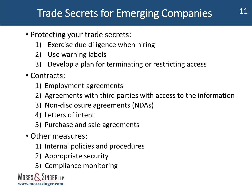- Protecting your trade secrets:
	- 1) Exercise due diligence when hiring
	- 2) Use warning labels
	- 3) Develop a plan for terminating or restricting access
- Contracts:
	- 1) Employment agreements
	- 2) Agreements with third parties with access to the information
	- 3) Non-disclosure agreements (NDAs)
	- 4) Letters of intent
	- 5) Purchase and sale agreements
- Other measures:
	- 1) Internal policies and procedures
	- 2) Appropriate security
	- 3) Compliance monitoring

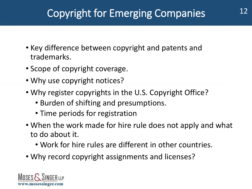## Copyright for Emerging Companies 212

- Key difference between copyright and patents and trademarks.
- Scope of copyright coverage.
- Why use copyright notices?
- Why register copyrights in the U.S. Copyright Office?
	- Burden of shifting and presumptions.
	- Time periods for registration
- When the work made for hire rule does not apply and what to do about it.
	- Work for hire rules are different in other countries.
- Why record copyright assignments and licenses?

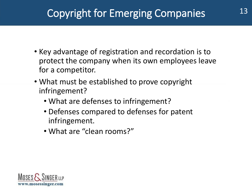## Copyright for Emerging Companies 13

- Key advantage of registration and recordation is to protect the company when its own employees leave for a competitor.
- What must be established to prove copyright infringement?
	- What are defenses to infringement?
	- Defenses compared to defenses for patent infringement.
	- What are "clean rooms?"

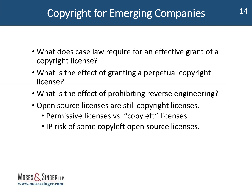## Copyright for Emerging Companies 14

- What does case law require for an effective grant of a copyright license?
- What is the effect of granting a perpetual copyright license?
- What is the effect of prohibiting reverse engineering?
- Open source licenses are still copyright licenses.
	- Permissive licenses vs. "copyleft" licenses.
	- IP risk of some copyleft open source licenses.

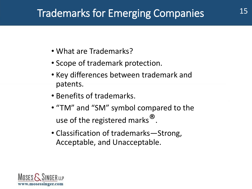### <sup>15</sup> Trademarks for Emerging Companies

- What are Trademarks?
- Scope of trademark protection.
- Key differences between trademark and patents.
- Benefits of trademarks.
- "TM" and "SM" symbol compared to the use of the registered marks<sup>®</sup>.
- Classification of trademarks—Strong, Acceptable, and Unacceptable.

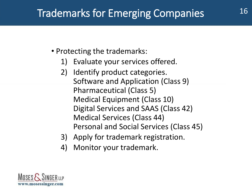### Trademarks for Emerging Companies 16

- Protecting the trademarks:
	- 1) Evaluate your services offered.
	- 2) Identify product categories. Software and Application (Class 9) Pharmaceutical (Class 5) Medical Equipment (Class 10) Digital Services and SAAS (Class 42) Medical Services (Class 44) Personal and Social Services (Class 45)
	- 3) Apply for trademark registration.
	- 4) Monitor your trademark.

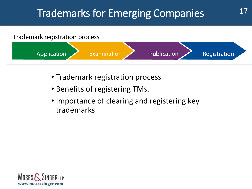### Trademarks for Emerging Companies  $17$



- Trademark registration process
- Benefits of registering TMs.
- Importance of clearing and registering key trademarks.